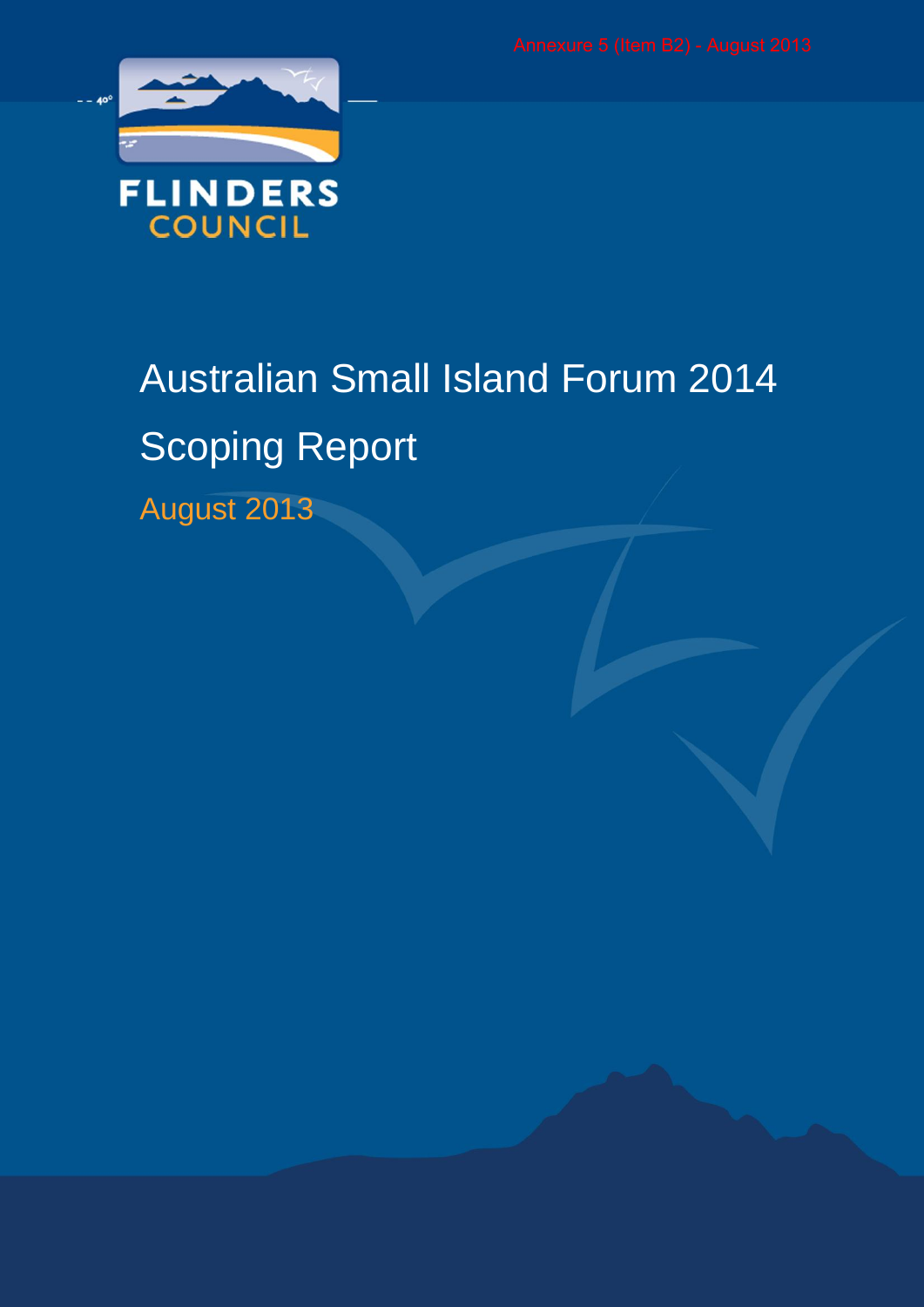

# Australian Small Island Forum 2014 Scoping Report

August 2013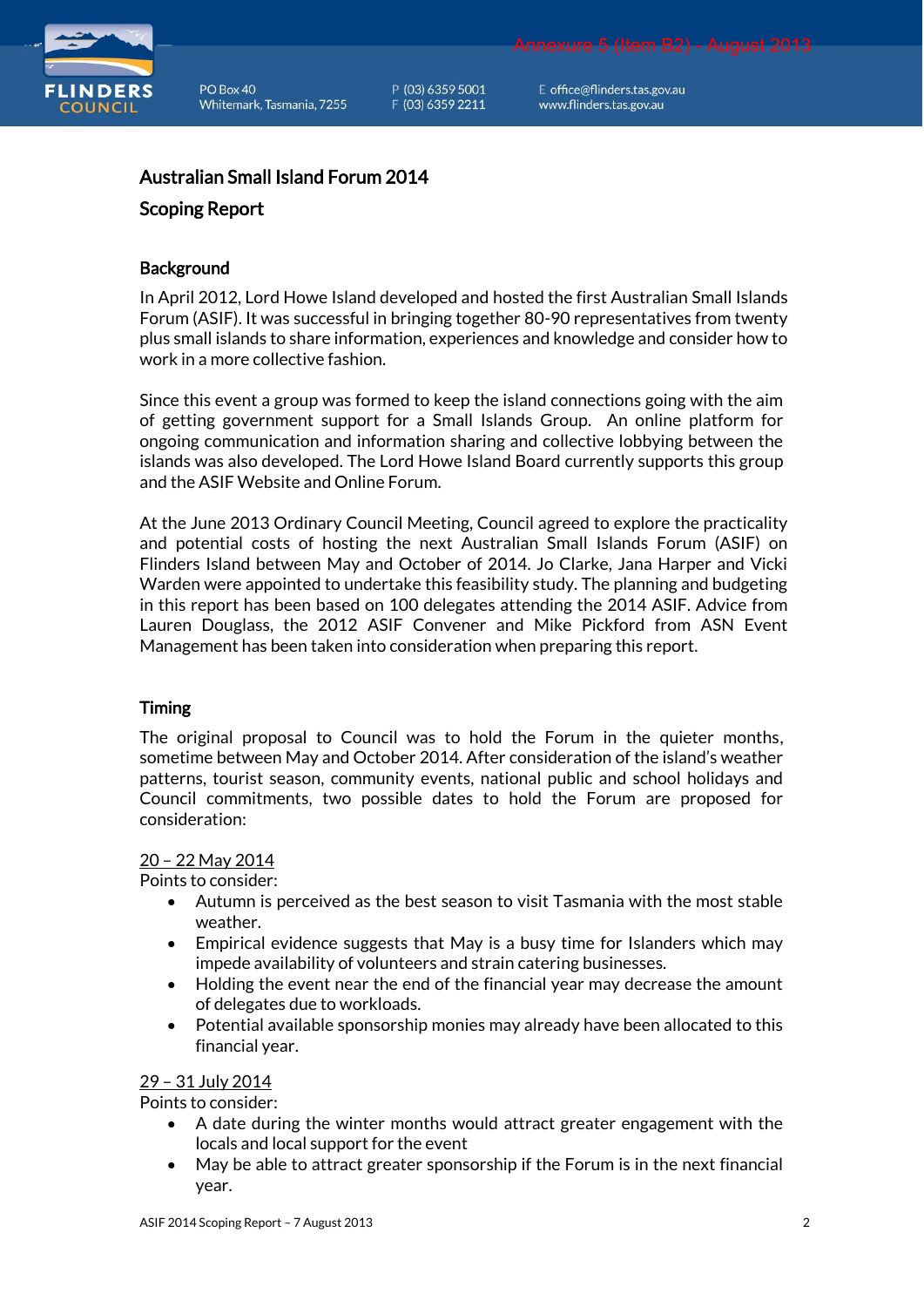

P (03) 6359 5001 F (03) 6359 2211

E office@flinders.tas.gov.au www.flinders.tas.gov.au

Annexure 5 (Item B2) - August 2013

# Australian Small Island Forum 2014

#### Scoping Report

#### **Background**

In April 2012, Lord Howe Island developed and hosted the first Australian Small Islands Forum (ASIF). It was successful in bringing together 80-90 representatives from twenty plus small islands to share information, experiences and knowledge and consider how to work in a more collective fashion.

Since this event a group was formed to keep the island connections going with the aim of getting government support for a Small Islands Group. An online platform for ongoing communication and information sharing and collective lobbying between the islands was also developed. The Lord Howe Island Board currently supports this group and the ASIF Website and Online Forum.

At the June 2013 Ordinary Council Meeting, Council agreed to explore the practicality and potential costs of hosting the next Australian Small Islands Forum (ASIF) on Flinders Island between May and October of 2014. Jo Clarke, Jana Harper and Vicki Warden were appointed to undertake this feasibility study. The planning and budgeting in this report has been based on 100 delegates attending the 2014 ASIF. Advice from Lauren Douglass, the 2012 ASIF Convener and Mike Pickford from ASN Event Management has been taken into consideration when preparing this report.

### Timing

The original proposal to Council was to hold the Forum in the quieter months, sometime between May and October 2014. After consideration of the island's weather patterns, tourist season, community events, national public and school holidays and Council commitments, two possible dates to hold the Forum are proposed for consideration:

#### 20 – 22 May 2014

Points to consider:

- Autumn is perceived as the best season to visit Tasmania with the most stable weather.
- Empirical evidence suggests that May is a busy time for Islanders which may impede availability of volunteers and strain catering businesses.
- Holding the event near the end of the financial year may decrease the amount of delegates due to workloads.
- Potential available sponsorship monies may already have been allocated to this financial year.

#### 29 – 31 July 2014

Points to consider:

- A date during the winter months would attract greater engagement with the locals and local support for the event
- May be able to attract greater sponsorship if the Forum is in the next financial year.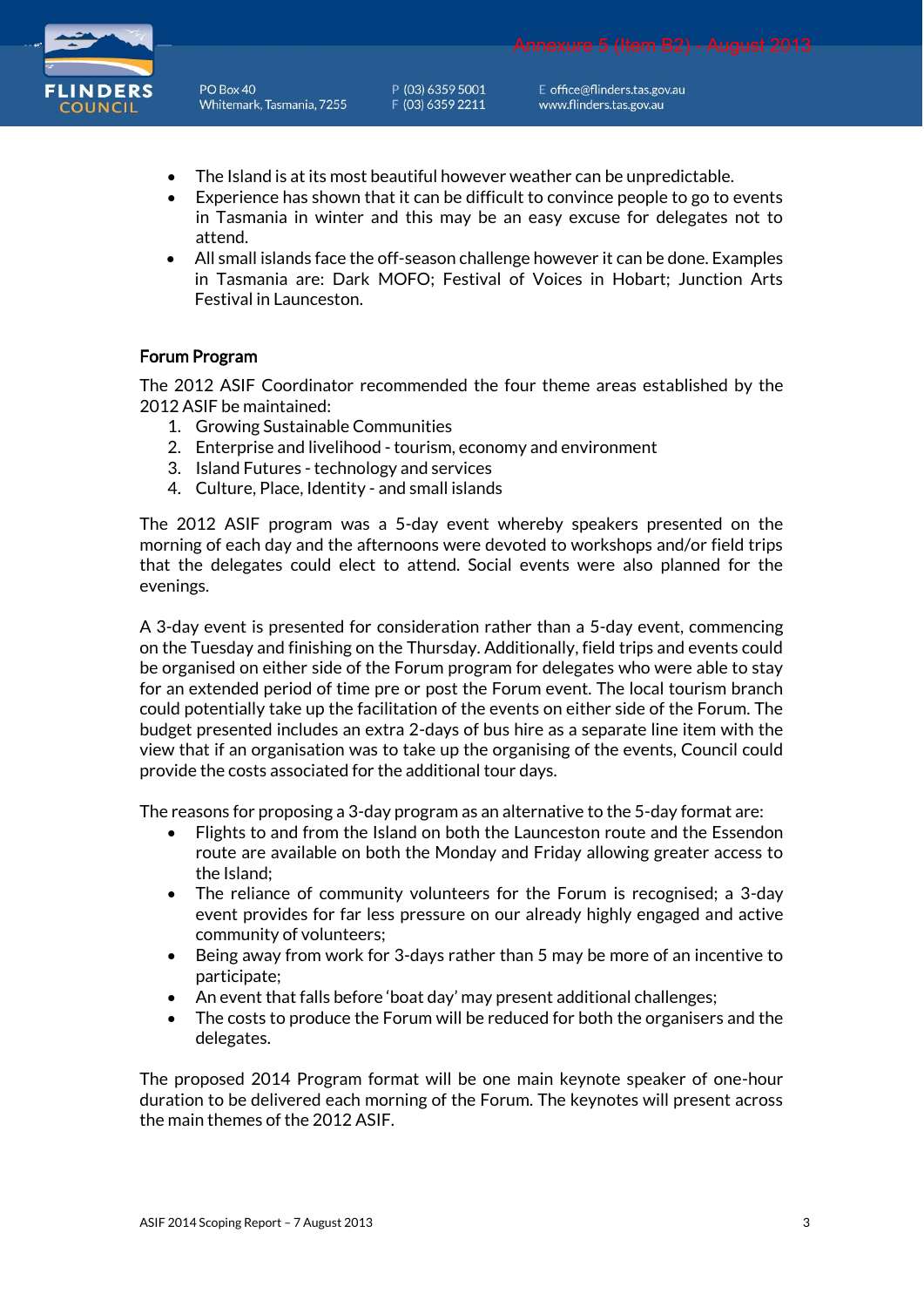

P (03) 6359 5001 F (03) 6359 2211

E office@flinders.tas.gov.au www.flinders.tas.gov.au

- The Island is at its most beautiful however weather can be unpredictable.
- Experience has shown that it can be difficult to convince people to go to events in Tasmania in winter and this may be an easy excuse for delegates not to attend.
- All small islands face the off-season challenge however it can be done. Examples in Tasmania are: Dark MOFO; Festival of Voices in Hobart; Junction Arts Festival in Launceston.

### Forum Program

The 2012 ASIF Coordinator recommended the four theme areas established by the 2012 ASIF be maintained:

- 1. Growing Sustainable Communities
- 2. Enterprise and livelihood tourism, economy and environment
- 3. Island Futures technology and services
- 4. Culture, Place, Identity and small islands

The 2012 ASIF program was a 5-day event whereby speakers presented on the morning of each day and the afternoons were devoted to workshops and/or field trips that the delegates could elect to attend. Social events were also planned for the evenings.

A 3-day event is presented for consideration rather than a 5-day event, commencing on the Tuesday and finishing on the Thursday. Additionally, field trips and events could be organised on either side of the Forum program for delegates who were able to stay for an extended period of time pre or post the Forum event. The local tourism branch could potentially take up the facilitation of the events on either side of the Forum. The budget presented includes an extra 2-days of bus hire as a separate line item with the view that if an organisation was to take up the organising of the events, Council could provide the costs associated for the additional tour days.

The reasons for proposing a 3-day program as an alternative to the 5-day format are:

- Flights to and from the Island on both the Launceston route and the Essendon route are available on both the Monday and Friday allowing greater access to the Island;
- The reliance of community volunteers for the Forum is recognised; a 3-day event provides for far less pressure on our already highly engaged and active community of volunteers;
- Being away from work for 3-days rather than 5 may be more of an incentive to participate;
- An event that falls before 'boat day' may present additional challenges;
- The costs to produce the Forum will be reduced for both the organisers and the delegates.

The proposed 2014 Program format will be one main keynote speaker of one-hour duration to be delivered each morning of the Forum. The keynotes will present across the main themes of the 2012 ASIF.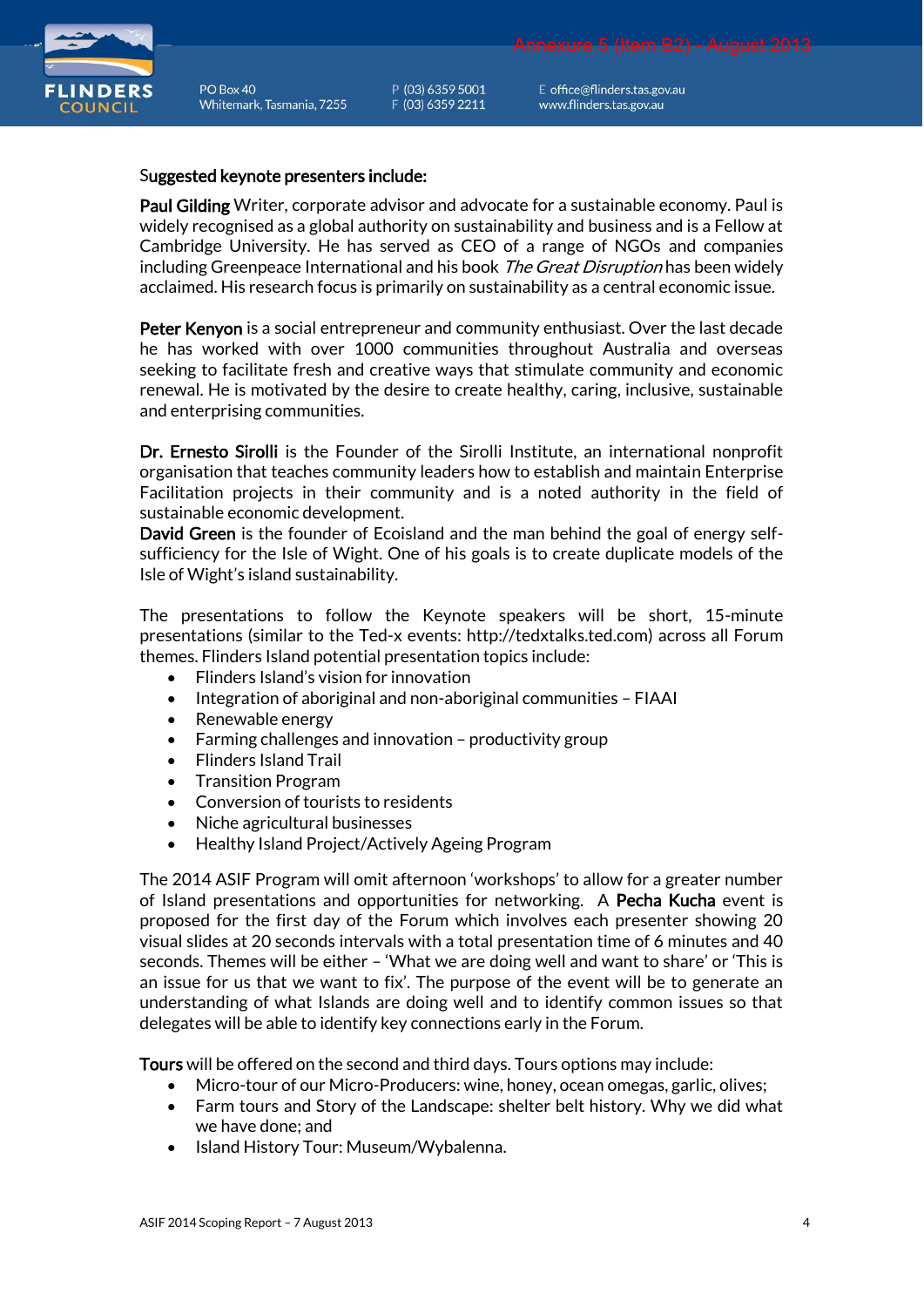

P (03) 6359 5001 F (03) 6359 2211

E office@flinders.tas.gov.au www.flinders.tas.gov.au

#### Suggested keynote presenters include:

Paul Gilding Writer, corporate advisor and advocate for a sustainable economy. Paul is widely recognised as a global authority on sustainability and business and is a Fellow at Cambridge University. He has served as CEO of a range of NGOs and companies including Greenpeace International and his book *The Great Disruption* has been widely acclaimed. His research focus is primarily on sustainability as a central economic issue.

Peter Kenyon is a social entrepreneur and community enthusiast. Over the last decade he has worked with over 1000 communities throughout Australia and overseas seeking to facilitate fresh and creative ways that stimulate community and economic renewal. He is motivated by the desire to create healthy, caring, inclusive, sustainable and enterprising communities.

Dr. Ernesto Sirolli is the Founder of the Sirolli Institute, an international nonprofit organisation that teaches community leaders how to establish and maintain Enterprise Facilitation projects in their community and is a noted authority in the field of sustainable economic development.

David Green is the founder of Ecoisland and the man behind the goal of energy selfsufficiency for the Isle of Wight. One of his goals is to create duplicate models of the Isle of Wight's island sustainability.

The presentations to follow the Keynote speakers will be short, 15-minute presentations (similar to the Ted-x events: [http://tedxtalks.ted.com\)](http://tedxtalks.ted.com/) across all Forum themes. Flinders Island potential presentation topics include:

- Flinders Island's vision for innovation
- Integration of aboriginal and non-aboriginal communities FIAAI
- Renewable energy
- Farming challenges and innovation productivity group
- Flinders Island Trail
- Transition Program
- Conversion of tourists to residents
- Niche agricultural businesses
- Healthy Island Project/Actively Ageing Program

The 2014 ASIF Program will omit afternoon 'workshops' to allow for a greater number of Island presentations and opportunities for networking. A Pecha Kucha event is proposed for the first day of the Forum which involves each presenter showing 20 visual slides at 20 seconds intervals with a total presentation time of 6 minutes and 40 seconds. Themes will be either – 'What we are doing well and want to share' or 'This is an issue for us that we want to fix'. The purpose of the event will be to generate an understanding of what Islands are doing well and to identify common issues so that delegates will be able to identify key connections early in the Forum.

Tours will be offered on the second and third days. Tours options may include:

- Micro-tour of our Micro-Producers: wine, honey, ocean omegas, garlic, olives;
- Farm tours and Story of the Landscape: shelter belt history. Why we did what we have done; and
- Island History Tour: Museum/Wybalenna.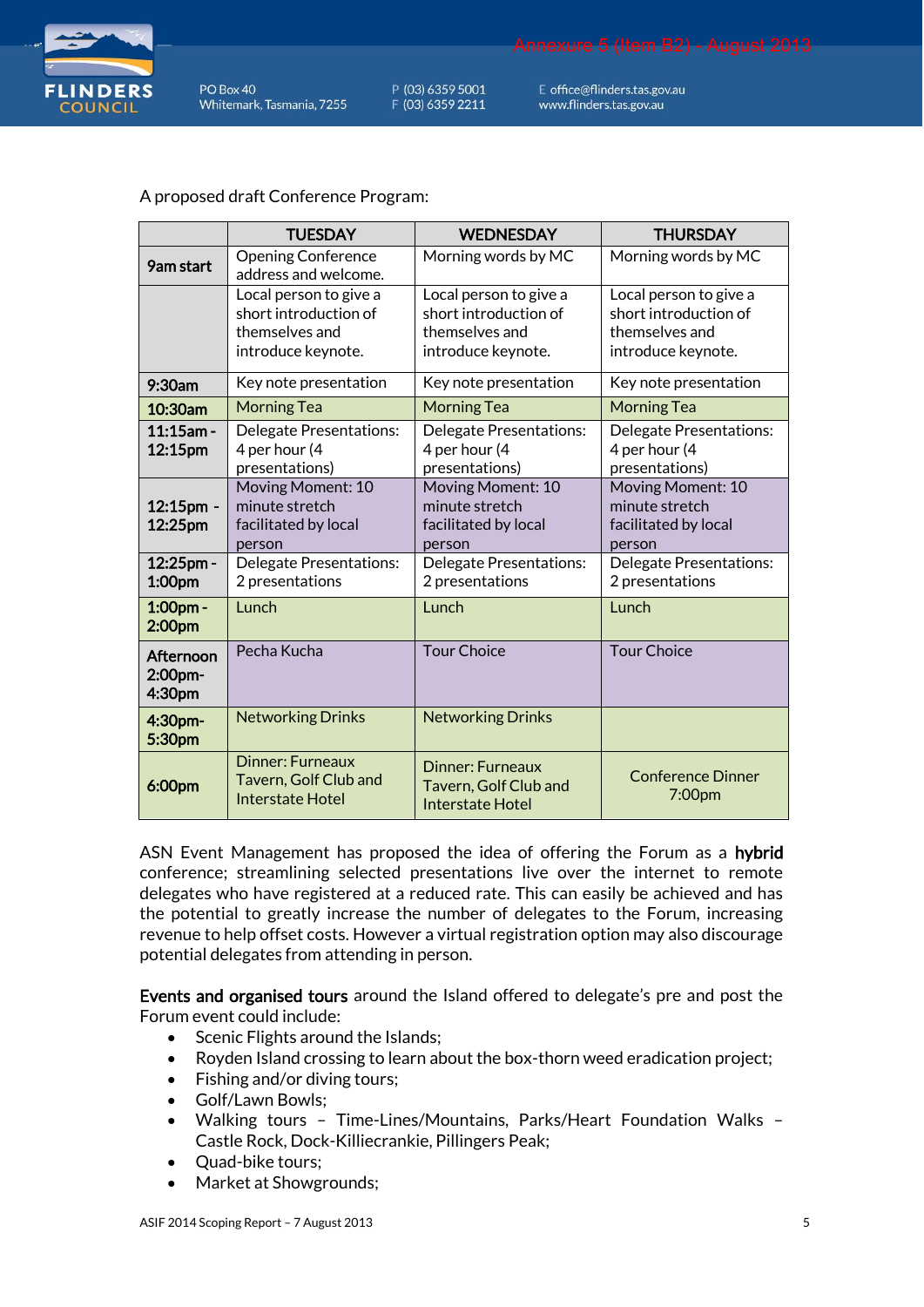

P (03) 6359 5001 F (03) 6359 2211

E office@flinders.tas.gov.au www.flinders.tas.gov.au

### A proposed draft Conference Program:

|                                | <b>TUESDAY</b>                                                                          | <b>WEDNESDAY</b>                                                                        | <b>THURSDAY</b>                                                                         |
|--------------------------------|-----------------------------------------------------------------------------------------|-----------------------------------------------------------------------------------------|-----------------------------------------------------------------------------------------|
| 9am start                      | <b>Opening Conference</b><br>address and welcome.                                       | Morning words by MC                                                                     | Morning words by MC                                                                     |
|                                | Local person to give a<br>short introduction of<br>themselves and<br>introduce keynote. | Local person to give a<br>short introduction of<br>themselves and<br>introduce keynote. | Local person to give a<br>short introduction of<br>themselves and<br>introduce keynote. |
| 9:30am                         | Key note presentation                                                                   | Key note presentation                                                                   | Key note presentation                                                                   |
| 10:30am                        | <b>Morning Tea</b>                                                                      | <b>Morning Tea</b>                                                                      | <b>Morning Tea</b>                                                                      |
| $11:15$ am -<br>12:15pm        | <b>Delegate Presentations:</b><br>4 per hour (4<br>presentations)                       | Delegate Presentations:<br>4 per hour (4<br>presentations)                              | Delegate Presentations:<br>4 per hour (4<br>presentations)                              |
| 12:15pm -<br>12:25pm           | Moving Moment: 10<br>minute stretch<br>facilitated by local<br>person                   | Moving Moment: 10<br>minute stretch<br>facilitated by local<br>person                   | Moving Moment: 10<br>minute stretch<br>facilitated by local<br>person                   |
| 12:25pm -<br>1:00pm            | Delegate Presentations:<br>2 presentations                                              | Delegate Presentations:<br>2 presentations                                              | Delegate Presentations:<br>2 presentations                                              |
| 1:00pm -<br>2:00pm             | Lunch                                                                                   | Lunch                                                                                   | Lunch                                                                                   |
| Afternoon<br>2:00pm-<br>4:30pm | Pecha Kucha                                                                             | <b>Tour Choice</b>                                                                      | <b>Tour Choice</b>                                                                      |
| 4:30pm-<br>5:30pm              | <b>Networking Drinks</b>                                                                | <b>Networking Drinks</b>                                                                |                                                                                         |
| 6:00pm                         | <b>Dinner: Furneaux</b><br>Tavern, Golf Club and<br><b>Interstate Hotel</b>             | <b>Dinner: Furneaux</b><br>Tavern, Golf Club and<br>Interstate Hotel                    | <b>Conference Dinner</b><br>7:00pm                                                      |

ASN Event Management has proposed the idea of offering the Forum as a hybrid conference; streamlining selected presentations live over the internet to remote delegates who have registered at a reduced rate. This can easily be achieved and has the potential to greatly increase the number of delegates to the Forum, increasing revenue to help offset costs. However a virtual registration option may also discourage potential delegates from attending in person.

Events and organised tours around the Island offered to delegate's pre and post the Forum event could include:

- Scenic Flights around the Islands;
- Royden Island crossing to learn about the box-thorn weed eradication project;
- Fishing and/or diving tours;
- Golf/Lawn Bowls;
- Walking tours Time-Lines/Mountains, Parks/Heart Foundation Walks Castle Rock, Dock-Killiecrankie, Pillingers Peak;
- Quad-bike tours;
- Market at Showgrounds;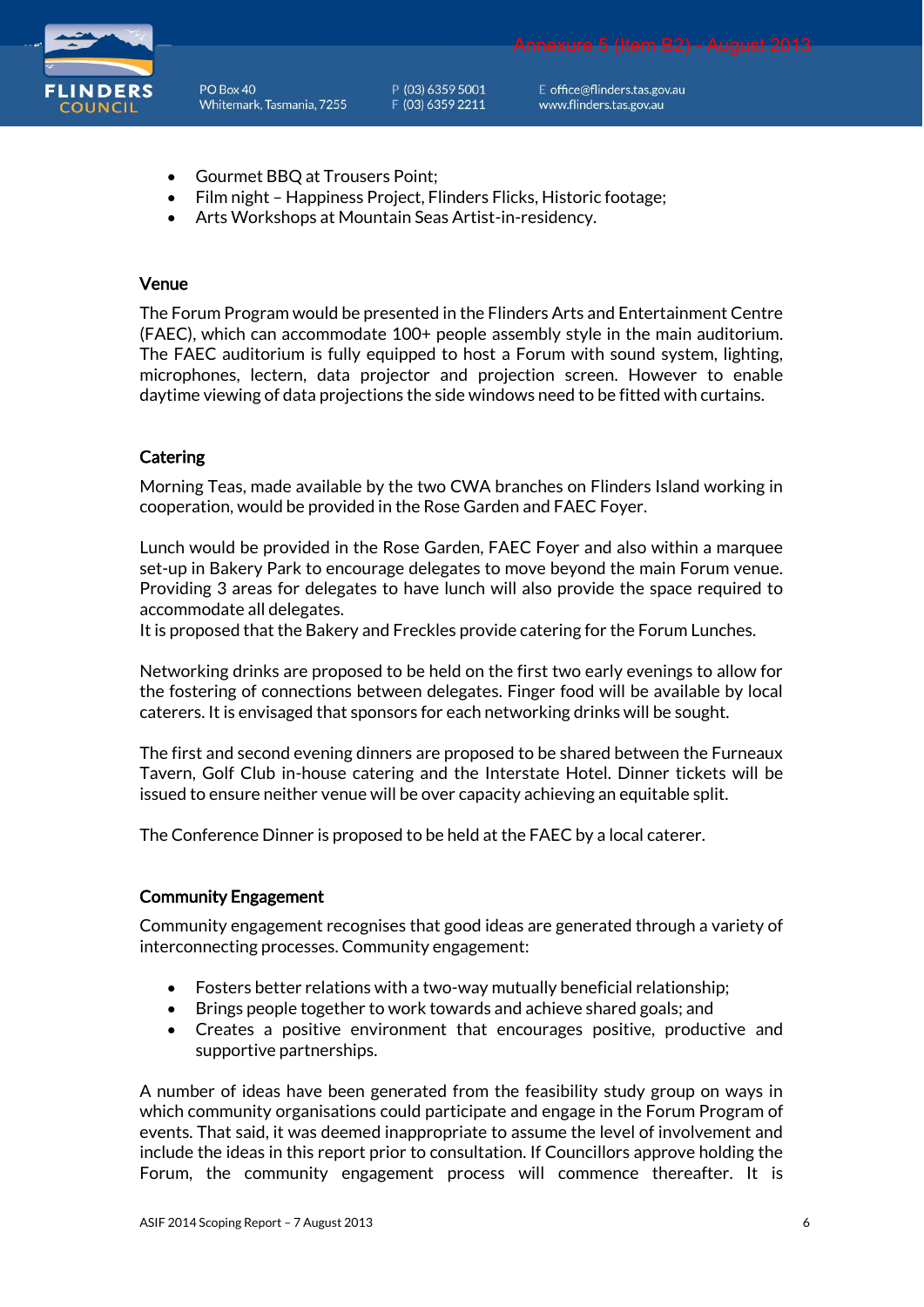

P (03) 6359 5001 F (03) 6359 2211

E office@flinders.tas.gov.au www.flinders.tas.gov.au

Annexure 5 (Item B2) - August 2013

- Gourmet BBQ at Trousers Point;
- Film night Happiness Project, Flinders Flicks, Historic footage;
- Arts Workshops at Mountain Seas Artist-in-residency.

#### Venue

The Forum Program would be presented in the Flinders Arts and Entertainment Centre (FAEC), which can accommodate 100+ people assembly style in the main auditorium. The FAEC auditorium is fully equipped to host a Forum with sound system, lighting, microphones, lectern, data projector and projection screen. However to enable daytime viewing of data projections the side windows need to be fitted with curtains.

#### **Catering**

Morning Teas, made available by the two CWA branches on Flinders Island working in cooperation, would be provided in the Rose Garden and FAEC Foyer.

Lunch would be provided in the Rose Garden, FAEC Foyer and also within a marquee set-up in Bakery Park to encourage delegates to move beyond the main Forum venue. Providing 3 areas for delegates to have lunch will also provide the space required to accommodate all delegates.

It is proposed that the Bakery and Freckles provide catering for the Forum Lunches.

Networking drinks are proposed to be held on the first two early evenings to allow for the fostering of connections between delegates. Finger food will be available by local caterers. It is envisaged that sponsors for each networking drinks will be sought.

The first and second evening dinners are proposed to be shared between the Furneaux Tavern, Golf Club in-house catering and the Interstate Hotel. Dinner tickets will be issued to ensure neither venue will be over capacity achieving an equitable split.

The Conference Dinner is proposed to be held at the FAEC by a local caterer.

#### Community Engagement

Community engagement recognises that good ideas are generated through a variety of interconnecting processes. Community engagement:

- Fosters better relations with a two-way mutually beneficial relationship;
- Brings people together to work towards and achieve shared goals; and
- Creates a positive environment that encourages positive, productive and supportive partnerships.

A number of ideas have been generated from the feasibility study group on ways in which community organisations could participate and engage in the Forum Program of events. That said, it was deemed inappropriate to assume the level of involvement and include the ideas in this report prior to consultation. If Councillors approve holding the Forum, the community engagement process will commence thereafter. It is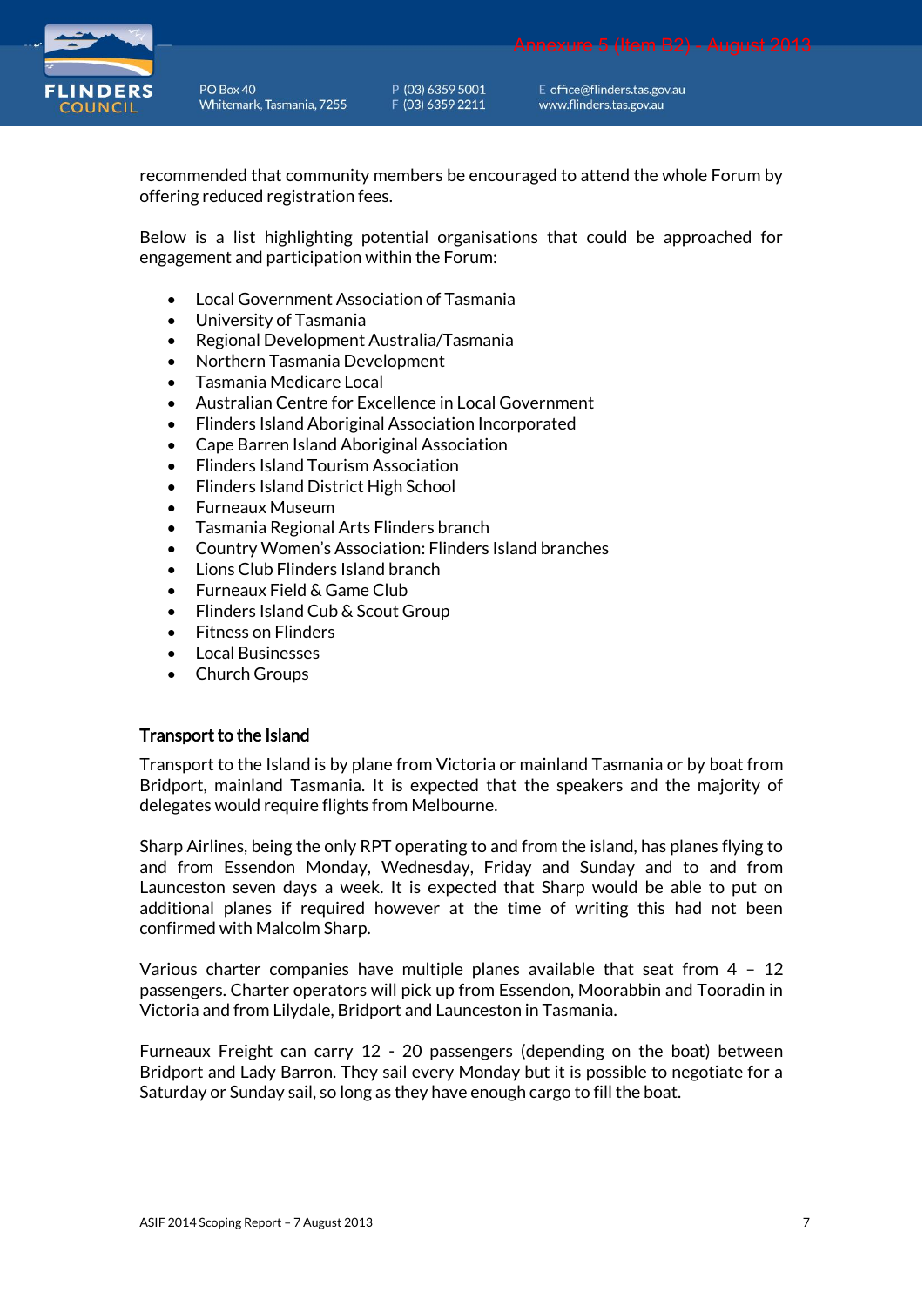

P (03) 6359 5001 F (03) 6359 2211

E office@flinders.tas.gov.au www.flinders.tas.gov.au

recommended that community members be encouraged to attend the whole Forum by offering reduced registration fees.

Below is a list highlighting potential organisations that could be approached for engagement and participation within the Forum:

- Local Government Association of Tasmania
- University of Tasmania
- Regional Development Australia/Tasmania
- Northern Tasmania Development
- Tasmania Medicare Local
- Australian Centre for Excellence in Local Government
- Flinders Island Aboriginal Association Incorporated
- Cape Barren Island Aboriginal Association
- Flinders Island Tourism Association
- Flinders Island District High School
- Furneaux Museum
- Tasmania Regional Arts Flinders branch
- Country Women's Association: Flinders Island branches
- Lions Club Flinders Island branch
- Furneaux Field & Game Club
- Flinders Island Cub & Scout Group
- Fitness on Flinders
- Local Businesses
- Church Groups

#### Transport to the Island

Transport to the Island is by plane from Victoria or mainland Tasmania or by boat from Bridport, mainland Tasmania. It is expected that the speakers and the majority of delegates would require flights from Melbourne.

Sharp Airlines, being the only RPT operating to and from the island, has planes flying to and from Essendon Monday, Wednesday, Friday and Sunday and to and from Launceston seven days a week. It is expected that Sharp would be able to put on additional planes if required however at the time of writing this had not been confirmed with Malcolm Sharp.

Various charter companies have multiple planes available that seat from 4 – 12 passengers. Charter operators will pick up from Essendon, Moorabbin and Tooradin in Victoria and from Lilydale, Bridport and Launceston in Tasmania.

Furneaux Freight can carry 12 - 20 passengers (depending on the boat) between Bridport and Lady Barron. They sail every Monday but it is possible to negotiate for a Saturday or Sunday sail, so long as they have enough cargo to fill the boat.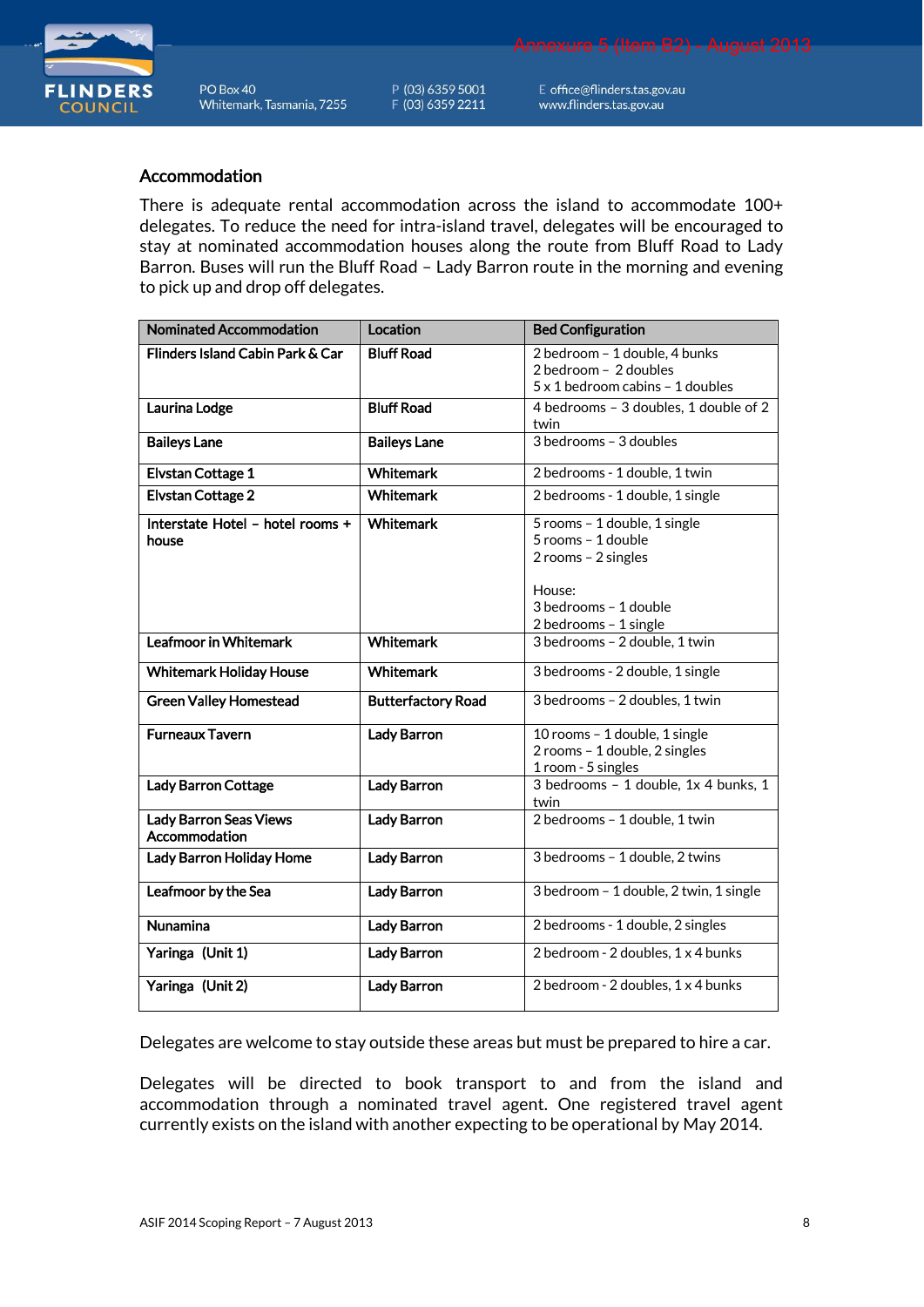

P (03) 6359 5001 F (03) 6359 2211

E office@flinders.tas.gov.au www.flinders.tas.gov.au

#### Accommodation

There is adequate rental accommodation across the island to accommodate 100+ delegates. To reduce the need for intra-island travel, delegates will be encouraged to stay at nominated accommodation houses along the route from Bluff Road to Lady Barron. Buses will run the Bluff Road – Lady Barron route in the morning and evening to pick up and drop off delegates.

| <b>Nominated Accommodation</b>          | Location                  | <b>Bed Configuration</b>               |
|-----------------------------------------|---------------------------|----------------------------------------|
| Flinders Island Cabin Park & Car        | <b>Bluff Road</b>         | 2 bedroom - 1 double, 4 bunks          |
|                                         |                           | 2 bedroom - 2 doubles                  |
|                                         |                           | 5 x 1 bedroom cabins - 1 doubles       |
| Laurina Lodge                           | <b>Bluff Road</b>         | 4 bedrooms - 3 doubles, 1 double of 2  |
|                                         |                           | twin                                   |
| <b>Baileys Lane</b>                     | <b>Baileys Lane</b>       | 3 bedrooms - 3 doubles                 |
| <b>Elvstan Cottage 1</b>                | <b>Whitemark</b>          | 2 bedrooms - 1 double, 1 twin          |
| <b>Elvstan Cottage 2</b>                | <b>Whitemark</b>          | 2 bedrooms - 1 double, 1 single        |
| Interstate Hotel - hotel rooms +        | <b>Whitemark</b>          | 5 rooms - 1 double, 1 single           |
| house                                   |                           | 5 rooms - 1 double                     |
|                                         |                           | 2 rooms - 2 singles                    |
|                                         |                           | House:                                 |
|                                         |                           | 3 bedrooms - 1 double                  |
|                                         |                           | 2 bedrooms - 1 single                  |
| <b>Leafmoor in Whitemark</b>            | <b>Whitemark</b>          | 3 bedrooms - 2 double, 1 twin          |
|                                         |                           |                                        |
| <b>Whitemark Holiday House</b>          | <b>Whitemark</b>          | 3 bedrooms - 2 double, 1 single        |
| <b>Green Valley Homestead</b>           | <b>Butterfactory Road</b> | 3 bedrooms - 2 doubles, 1 twin         |
| <b>Furneaux Tavern</b>                  | <b>Lady Barron</b>        | 10 rooms - 1 double, $1$ single        |
|                                         |                           | 2 rooms - 1 double, 2 singles          |
|                                         |                           | 1 room - 5 singles                     |
| <b>Lady Barron Cottage</b>              | <b>Lady Barron</b>        | 3 bedrooms - 1 double, 1x 4 bunks. 1   |
|                                         |                           | twin                                   |
| Lady Barron Seas Views<br>Accommodation | <b>Lady Barron</b>        | 2 bedrooms - 1 double, 1 twin          |
| Lady Barron Holiday Home                | <b>Lady Barron</b>        | 3 bedrooms - 1 double, 2 twins         |
| Leafmoor by the Sea                     | <b>Lady Barron</b>        | 3 bedroom - 1 double, 2 twin, 1 single |
| <b>Nunamina</b>                         | <b>Lady Barron</b>        | 2 bedrooms - 1 double, 2 singles       |
| Yaringa (Unit 1)                        | <b>Lady Barron</b>        | 2 bedroom - 2 doubles, 1 x 4 bunks     |
| Yaringa (Unit 2)                        | <b>Lady Barron</b>        | 2 bedroom - 2 doubles, 1 x 4 bunks     |

Delegates are welcome to stay outside these areas but must be prepared to hire a car.

Delegates will be directed to book transport to and from the island and accommodation through a nominated travel agent. One registered travel agent currently exists on the island with another expecting to be operational by May 2014.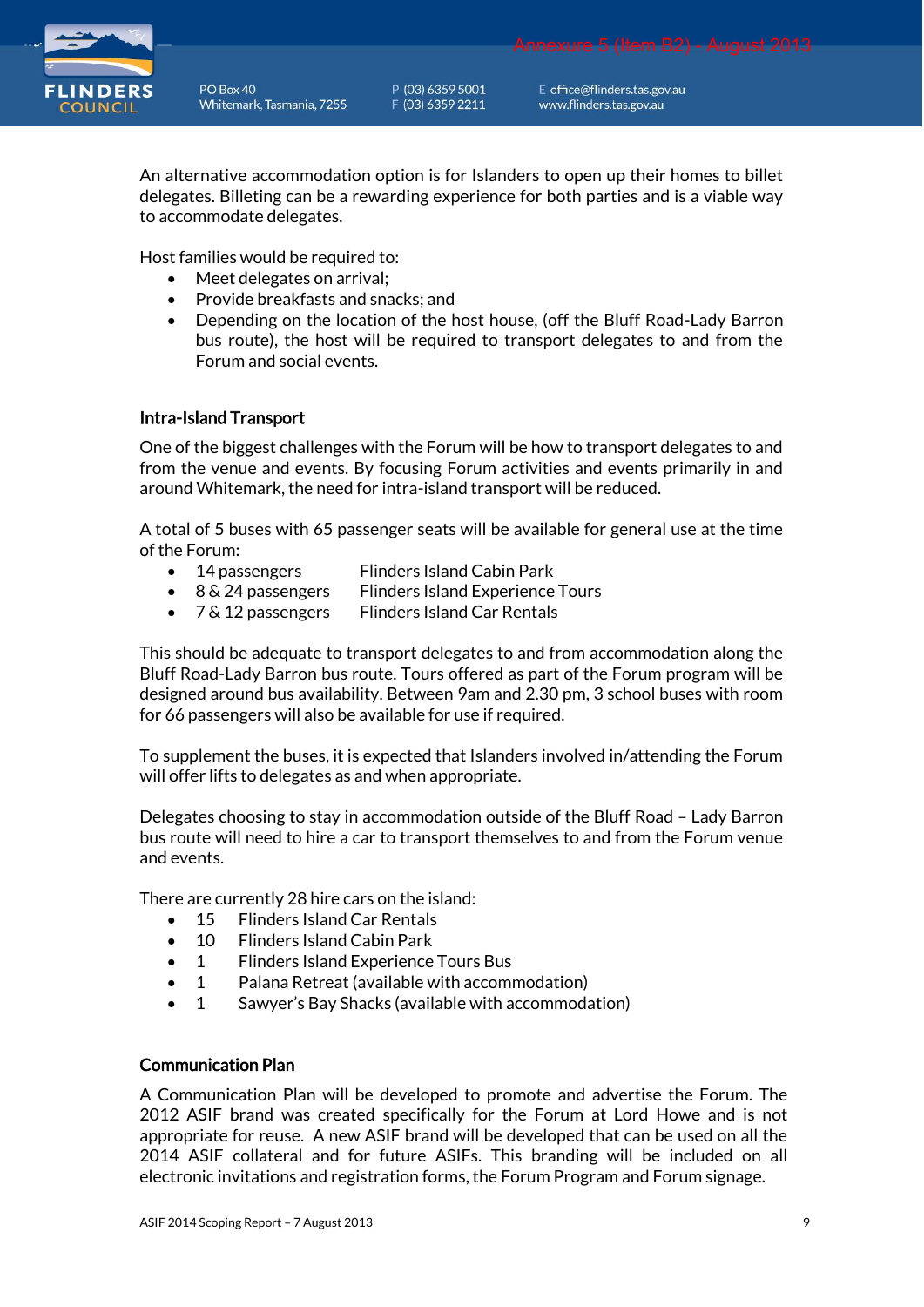

P (03) 6359 5001 F (03) 6359 2211

E office@flinders.tas.gov.au www.flinders.tas.gov.au

An alternative accommodation option is for Islanders to open up their homes to billet delegates. Billeting can be a rewarding experience for both parties and is a viable way to accommodate delegates.

Host families would be required to:

- Meet delegates on arrival;
- Provide breakfasts and snacks; and
- Depending on the location of the host house, (off the Bluff Road-Lady Barron bus route), the host will be required to transport delegates to and from the Forum and social events.

#### Intra-Island Transport

One of the biggest challenges with the Forum will be how to transport delegates to and from the venue and events. By focusing Forum activities and events primarily in and around Whitemark, the need for intra-island transport will be reduced.

A total of 5 buses with 65 passenger seats will be available for general use at the time of the Forum:

- 14 passengers Flinders Island Cabin Park
- 8 & 24 passengers Flinders Island Experience Tours
- 7 & 12 passengers Flinders Island Car Rentals

This should be adequate to transport delegates to and from accommodation along the Bluff Road-Lady Barron bus route. Tours offered as part of the Forum program will be designed around bus availability. Between 9am and 2.30 pm, 3 school buses with room for 66 passengers will also be available for use if required.

To supplement the buses, it is expected that Islanders involved in/attending the Forum will offer lifts to delegates as and when appropriate.

Delegates choosing to stay in accommodation outside of the Bluff Road – Lady Barron bus route will need to hire a car to transport themselves to and from the Forum venue and events.

There are currently 28 hire cars on the island:

- 15 Flinders Island Car Rentals
- 10 Flinders Island Cabin Park
- 1 Flinders Island Experience Tours Bus
- 1 Palana Retreat (available with accommodation)
- 1 Sawyer's Bay Shacks (available with accommodation)

# Communication Plan

A Communication Plan will be developed to promote and advertise the Forum. The 2012 ASIF brand was created specifically for the Forum at Lord Howe and is not appropriate for reuse. A new ASIF brand will be developed that can be used on all the 2014 ASIF collateral and for future ASIFs. This branding will be included on all electronic invitations and registration forms, the Forum Program and Forum signage.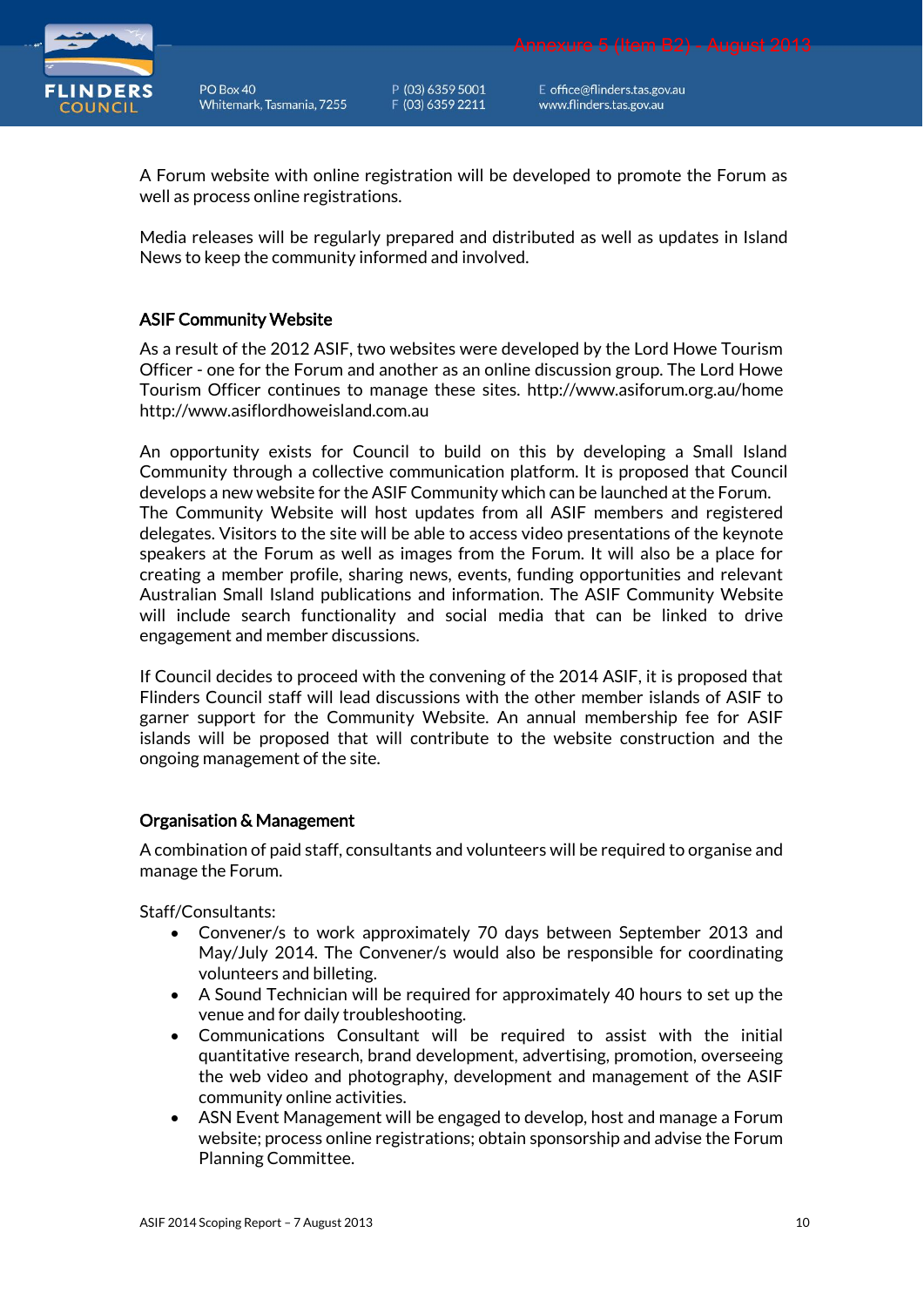

P (03) 6359 5001 F (03) 6359 2211

E office@flinders.tas.gov.au www.flinders.tas.gov.au

A Forum website with online registration will be developed to promote the Forum as well as process online registrations.

Media releases will be regularly prepared and distributed as well as updates in Island News to keep the community informed and involved.

# ASIF Community Website

As a result of the 2012 ASIF, two websites were developed by the Lord Howe Tourism Officer - one for the Forum and another as an online discussion group. The Lord Howe Tourism Officer continues to manage these sites. <http://www.asiforum.org.au/home> [http://www.asiflordhoweisland.com.au](http://www.asiflordhoweisland.com.au/) 

An opportunity exists for Council to build on this by developing a Small Island Community through a collective communication platform. It is proposed that Council develops a new website for the ASIF Community which can be launched at the Forum. The Community Website will host updates from all ASIF members and registered delegates. Visitors to the site will be able to access video presentations of the keynote speakers at the Forum as well as images from the Forum. It will also be a place for creating a member profile, sharing news, events, funding opportunities and relevant Australian Small Island publications and information. The ASIF Community Website will include search functionality and social media that can be linked to drive engagement and member discussions.

If Council decides to proceed with the convening of the 2014 ASIF, it is proposed that Flinders Council staff will lead discussions with the other member islands of ASIF to garner support for the Community Website. An annual membership fee for ASIF islands will be proposed that will contribute to the website construction and the ongoing management of the site.

### Organisation & Management

A combination of paid staff, consultants and volunteers will be required to organise and manage the Forum.

Staff/Consultants:

- Convener/s to work approximately 70 days between September 2013 and May/July 2014. The Convener/s would also be responsible for coordinating volunteers and billeting.
- A Sound Technician will be required for approximately 40 hours to set up the venue and for daily troubleshooting.
- Communications Consultant will be required to assist with the initial quantitative research, brand development, advertising, promotion, overseeing the web video and photography, development and management of the ASIF community online activities.
- ASN Event Management will be engaged to develop, host and manage a Forum website; process online registrations; obtain sponsorship and advise the Forum Planning Committee.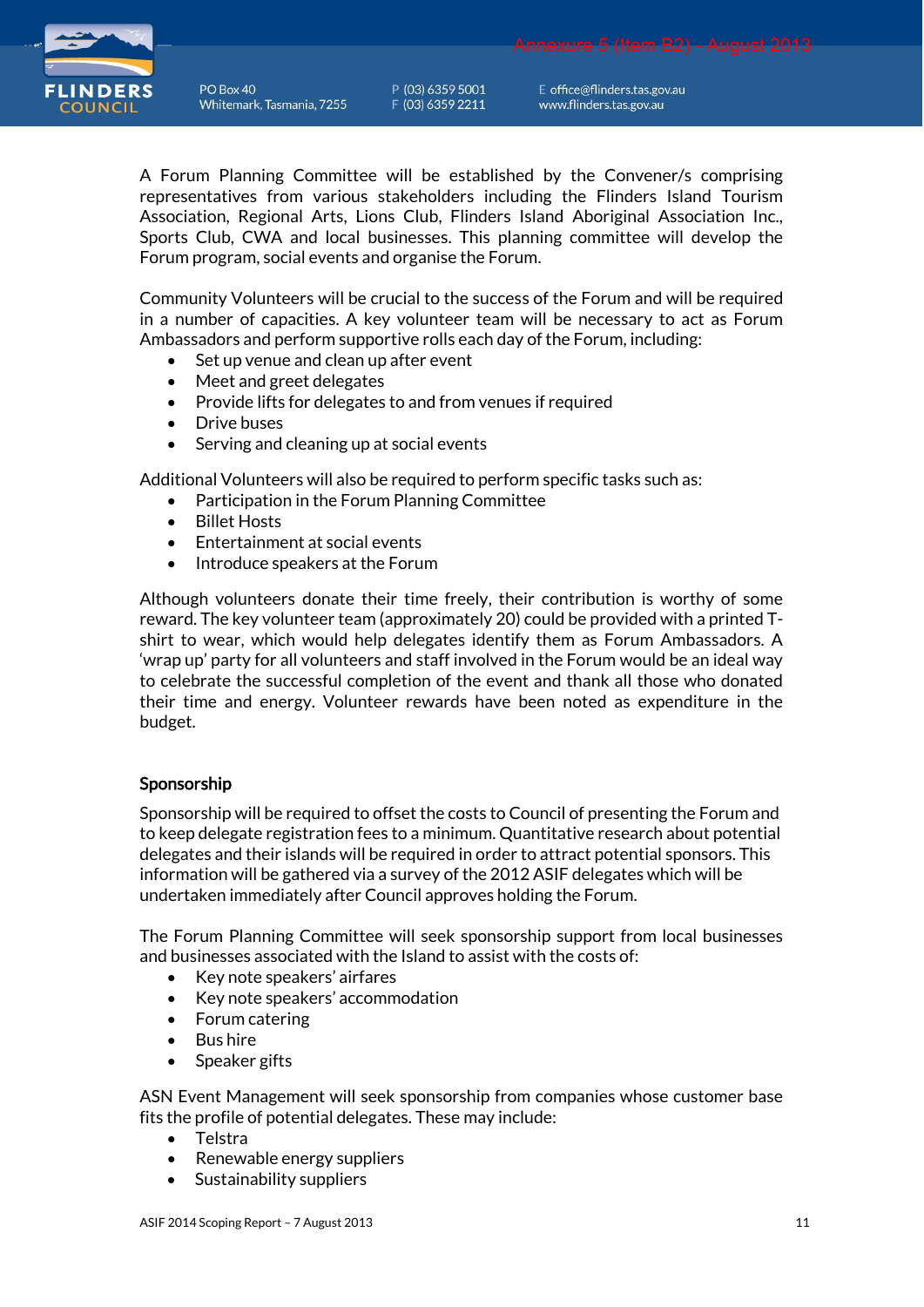

P (03) 6359 5001 F (03) 6359 2211

E office@flinders.tas.gov.au www.flinders.tas.gov.au

A Forum Planning Committee will be established by the Convener/s comprising representatives from various stakeholders including the Flinders Island Tourism Association, Regional Arts, Lions Club, Flinders Island Aboriginal Association Inc., Sports Club, CWA and local businesses. This planning committee will develop the Forum program, social events and organise the Forum.

Community Volunteers will be crucial to the success of the Forum and will be required in a number of capacities. A key volunteer team will be necessary to act as Forum Ambassadors and perform supportive rolls each day of the Forum, including:

- Set up venue and clean up after event
- Meet and greet delegates
- Provide lifts for delegates to and from venues if required
- Drive buses
- Serving and cleaning up at social events

Additional Volunteers will also be required to perform specific tasks such as:

- Participation in the Forum Planning Committee
- Billet Hosts
- Entertainment at social events
- Introduce speakers at the Forum

Although volunteers donate their time freely, their contribution is worthy of some reward. The key volunteer team (approximately 20) could be provided with a printed Tshirt to wear, which would help delegates identify them as Forum Ambassadors. A 'wrap up' party for all volunteers and staff involved in the Forum would be an ideal way to celebrate the successful completion of the event and thank all those who donated their time and energy. Volunteer rewards have been noted as expenditure in the budget.

### Sponsorship

Sponsorship will be required to offset the costs to Council of presenting the Forum and to keep delegate registration fees to a minimum. Quantitative research about potential delegates and their islands will be required in order to attract potential sponsors. This information will be gathered via a survey of the 2012 ASIF delegates which will be undertaken immediately after Council approves holding the Forum.

The Forum Planning Committee will seek sponsorship support from local businesses and businesses associated with the Island to assist with the costs of:

- Key note speakers' airfares
- Key note speakers' accommodation
- Forum catering
- Bus hire
- Speaker gifts

ASN Event Management will seek sponsorship from companies whose customer base fits the profile of potential delegates. These may include:

- Telstra
- Renewable energy suppliers
- Sustainability suppliers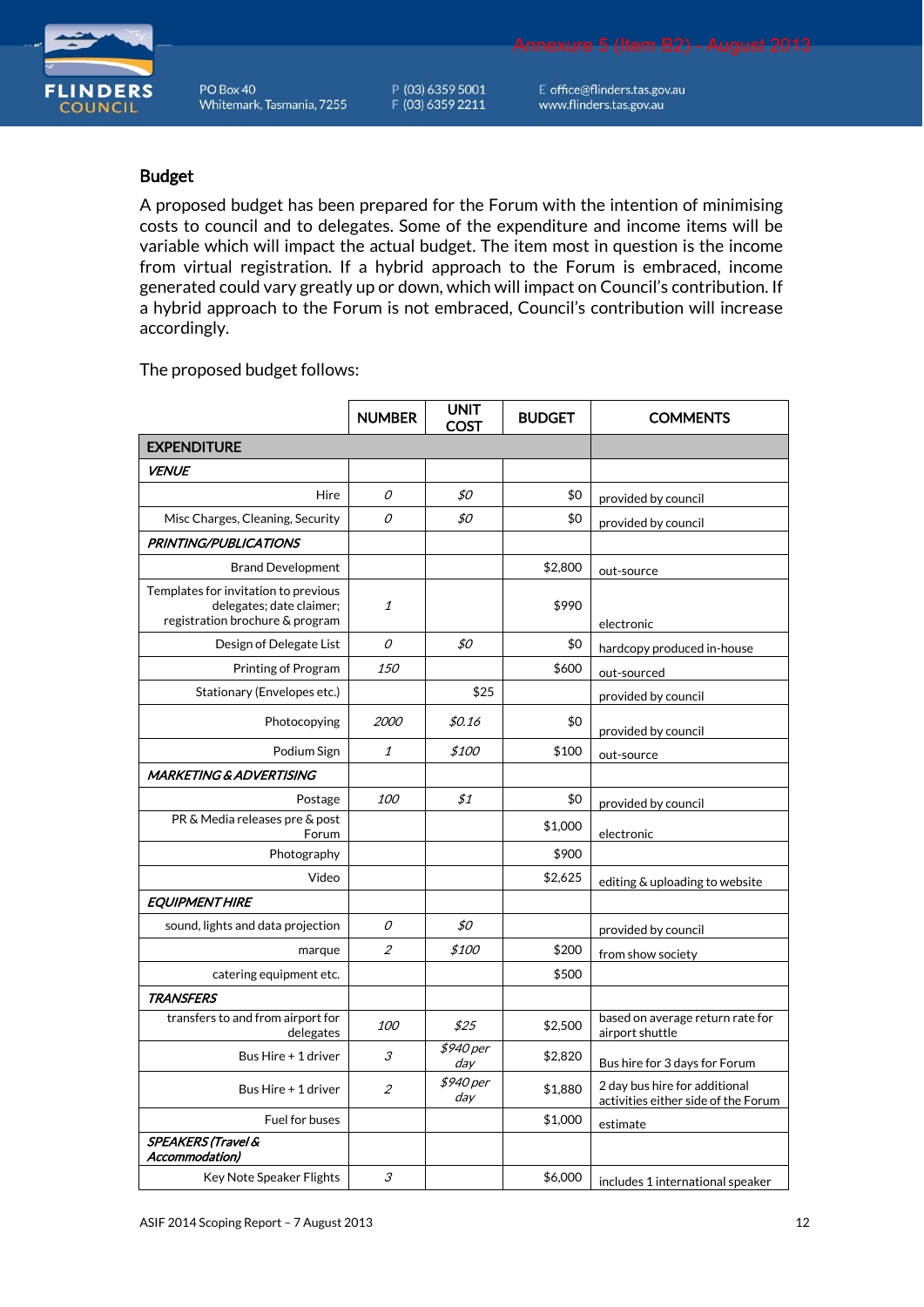P (03) 6359 5001 F (03) 6359 2211

E office@flinders.tas.gov.au www.flinders.tas.gov.au

#### Budget

A proposed budget has been prepared for the Forum with the intention of minimising costs to council and to delegates. Some of the expenditure and income items will be variable which will impact the actual budget. The item most in question is the income from virtual registration. If a hybrid approach to the Forum is embraced, income generated could vary greatly up or down, which will impact on Council's contribution. If a hybrid approach to the Forum is not embraced, Council's contribution will increase accordingly.

The proposed budget follows:

|                                                                                                     | <b>NUMBER</b>               | <b>UNIT</b><br><b>COST</b> | <b>BUDGET</b> | <b>COMMENTS</b>                                                      |
|-----------------------------------------------------------------------------------------------------|-----------------------------|----------------------------|---------------|----------------------------------------------------------------------|
| <b>EXPENDITURE</b>                                                                                  |                             |                            |               |                                                                      |
| <b>VENUE</b>                                                                                        |                             |                            |               |                                                                      |
| Hire                                                                                                | 0                           | \$0                        | \$0           | provided by council                                                  |
| Misc Charges, Cleaning, Security                                                                    | 0                           | \$0                        | \$0           | provided by council                                                  |
| PRINTING/PUBLICATIONS                                                                               |                             |                            |               |                                                                      |
| <b>Brand Development</b>                                                                            |                             |                            | \$2,800       | out-source                                                           |
| Templates for invitation to previous<br>delegates; date claimer;<br>registration brochure & program | 1                           |                            | \$990         | electronic                                                           |
| Design of Delegate List                                                                             | 0                           | \$0                        | \$0           | hardcopy produced in-house                                           |
| Printing of Program                                                                                 | 150                         |                            | \$600         | out-sourced                                                          |
| Stationary (Envelopes etc.)                                                                         |                             | \$25                       |               | provided by council                                                  |
| Photocopying                                                                                        | 2000                        | \$0.16                     | \$0           | provided by council                                                  |
| Podium Sign                                                                                         | 1                           | <i>\$100</i>               | \$100         | out-source                                                           |
| MARKETING & ADVERTISING                                                                             |                             |                            |               |                                                                      |
| Postage                                                                                             | <i>100</i>                  | \$1                        | \$0           | provided by council                                                  |
| PR & Media releases pre & post<br>Forum                                                             |                             |                            | \$1,000       | electronic                                                           |
| Photography                                                                                         |                             |                            | \$900         |                                                                      |
| Video                                                                                               |                             |                            | \$2,625       | editing & uploading to website                                       |
| <b>EQUIPMENT HIRE</b>                                                                               |                             |                            |               |                                                                      |
| sound, lights and data projection                                                                   | 0                           | \$0                        |               | provided by council                                                  |
| marque                                                                                              | $\mathcal{Z}_{\mathcal{C}}$ | <i>\$100</i>               | \$200         | from show society                                                    |
| catering equipment etc.                                                                             |                             |                            | \$500         |                                                                      |
| <b>TRANSFERS</b>                                                                                    |                             |                            |               |                                                                      |
| transfers to and from airport for<br>delegates                                                      | 100                         | \$25                       | \$2,500       | based on average return rate for<br>airport shuttle                  |
| Bus Hire + 1 driver                                                                                 | 3                           | \$940 per<br>day           | \$2,820       | Bus hire for 3 days for Forum                                        |
| Bus Hire + 1 driver                                                                                 | $\overline{2}$              | \$940 per<br>day           | \$1,880       | 2 day bus hire for additional<br>activities either side of the Forum |
| Fuel for buses                                                                                      |                             |                            | \$1,000       | estimate                                                             |
| <b>SPEAKERS (Travel &amp;</b><br>Accommodation)                                                     |                             |                            |               |                                                                      |
| Key Note Speaker Flights                                                                            | 3                           |                            | \$6,000       | includes 1 international speaker                                     |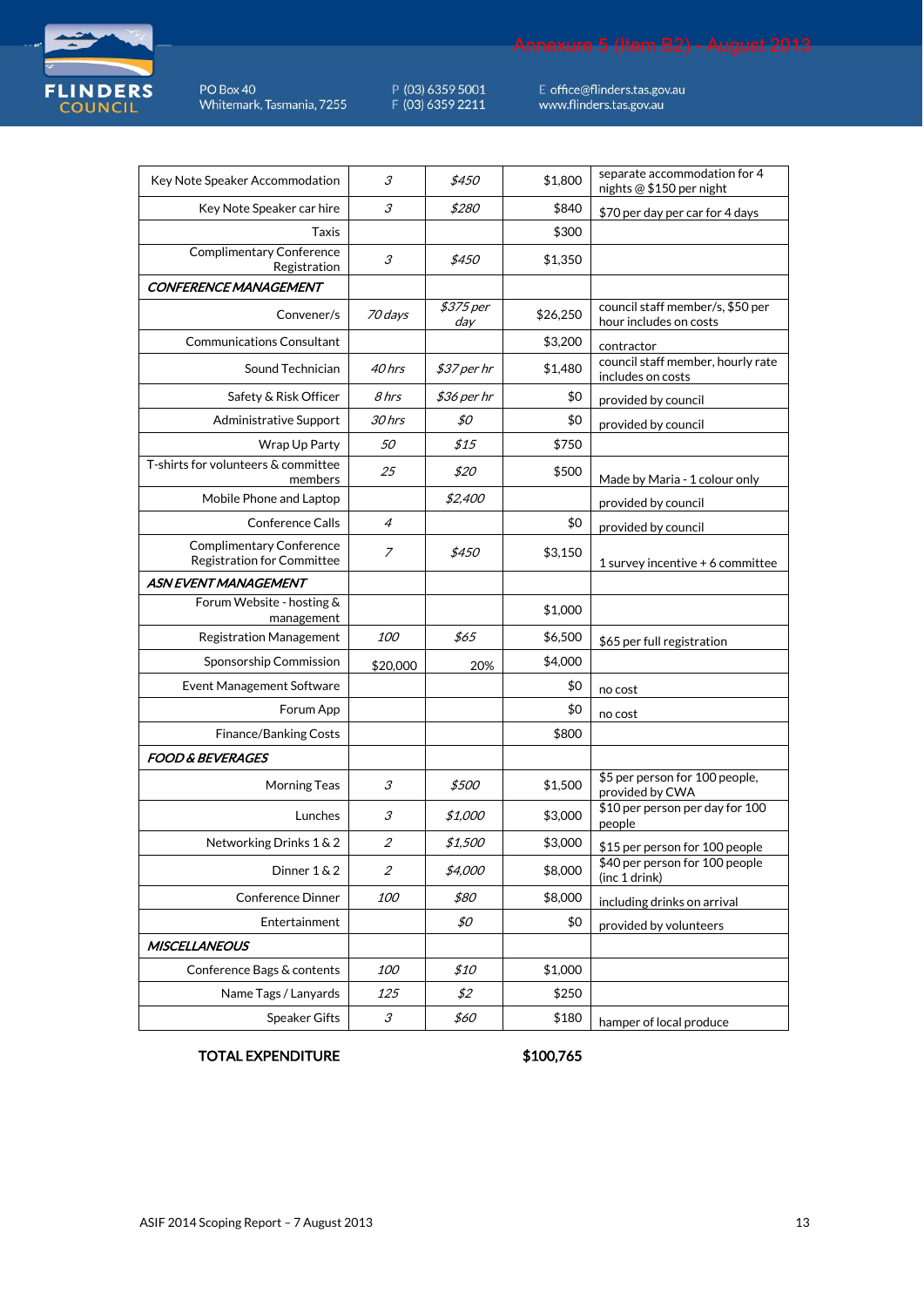

P (03) 6359 5001<br>F (03) 6359 2211

E office@flinders.tas.gov.au<br>www.flinders.tas.gov.au

| Key Note Speaker Accommodation                                       | 3                                  | \$450            | \$1,800  | separate accommodation for 4<br>nights @ \$150 per night   |
|----------------------------------------------------------------------|------------------------------------|------------------|----------|------------------------------------------------------------|
| Key Note Speaker car hire                                            | 3                                  | \$280            | \$840    | \$70 per day per car for 4 days                            |
| Taxis                                                                |                                    |                  | \$300    |                                                            |
| <b>Complimentary Conference</b><br>Registration                      | $\mathcal{S}_{\mathcal{S}}$        | \$450            | \$1,350  |                                                            |
| <b>CONFERENCE MANAGEMENT</b>                                         |                                    |                  |          |                                                            |
| Convener/s                                                           | 70 days                            | \$375 per<br>day | \$26,250 | council staff member/s, \$50 per<br>hour includes on costs |
| <b>Communications Consultant</b>                                     |                                    |                  | \$3,200  | contractor                                                 |
| Sound Technician                                                     | 40 hrs                             | \$37 per hr      | \$1,480  | council staff member, hourly rate<br>includes on costs     |
| Safety & Risk Officer                                                | 8 hrs                              | \$36 per hr      | \$0      | provided by council                                        |
| <b>Administrative Support</b>                                        | 30 hrs                             | \$0              | \$0      | provided by council                                        |
| Wrap Up Party                                                        | 50                                 | \$15             | \$750    |                                                            |
| T-shirts for volunteers & committee<br>members                       | 25                                 | \$20             | \$500    | Made by Maria - 1 colour only                              |
| Mobile Phone and Laptop                                              |                                    | \$2,400          |          | provided by council                                        |
| <b>Conference Calls</b>                                              | $\overline{4}$                     |                  | \$0      | provided by council                                        |
| <b>Complimentary Conference</b><br><b>Registration for Committee</b> | 7                                  | \$450            | \$3,150  | 1 survey incentive + 6 committee                           |
| <b>ASN EVENT MANAGEMENT</b>                                          |                                    |                  |          |                                                            |
| Forum Website - hosting &<br>management                              |                                    |                  | \$1,000  |                                                            |
| <b>Registration Management</b>                                       | <i>100</i>                         | \$65             | \$6,500  | \$65 per full registration                                 |
| Sponsorship Commission                                               | \$20,000                           | 20%              | \$4,000  |                                                            |
| Event Management Software                                            |                                    |                  | \$0      | no cost                                                    |
| Forum App                                                            |                                    |                  | \$0      | no cost                                                    |
| Finance/Banking Costs                                                |                                    |                  | \$800    |                                                            |
| <b>FOOD &amp; BEVERAGES</b>                                          |                                    |                  |          |                                                            |
| <b>Morning Teas</b>                                                  | 3                                  | \$500            | \$1,500  | \$5 per person for 100 people,<br>provided by CWA          |
| Lunches                                                              | 3                                  | \$1,000          | \$3,000  | \$10 per person per day for 100<br>people                  |
| Networking Drinks 1 & 2                                              | $\overline{2}$                     | \$1,500          | \$3,000  | \$15 per person for 100 people                             |
| Dinner 1 & 2                                                         | $\mathcal{Z}_{\mathcal{C}}$        | \$4,000          | \$8,000  | \$40 per person for 100 people<br>(inc 1 drink)            |
| <b>Conference Dinner</b>                                             | <i>100</i>                         | \$80             | \$8,000  | including drinks on arrival                                |
| Entertainment                                                        |                                    | \$0              | \$0      | provided by volunteers                                     |
| <b>MISCELLANEOUS</b>                                                 |                                    |                  |          |                                                            |
| Conference Bags & contents                                           | <i>100</i>                         | \$10             | \$1,000  |                                                            |
| Name Tags / Lanyards                                                 | 125                                | \$2              | \$250    |                                                            |
| Speaker Gifts                                                        | $\mathcal{S}% _{CS}^{(n)}(\theta)$ | \$60             | \$180    | hamper of local produce                                    |

#### TOTAL EXPENDITURE

\$100,765